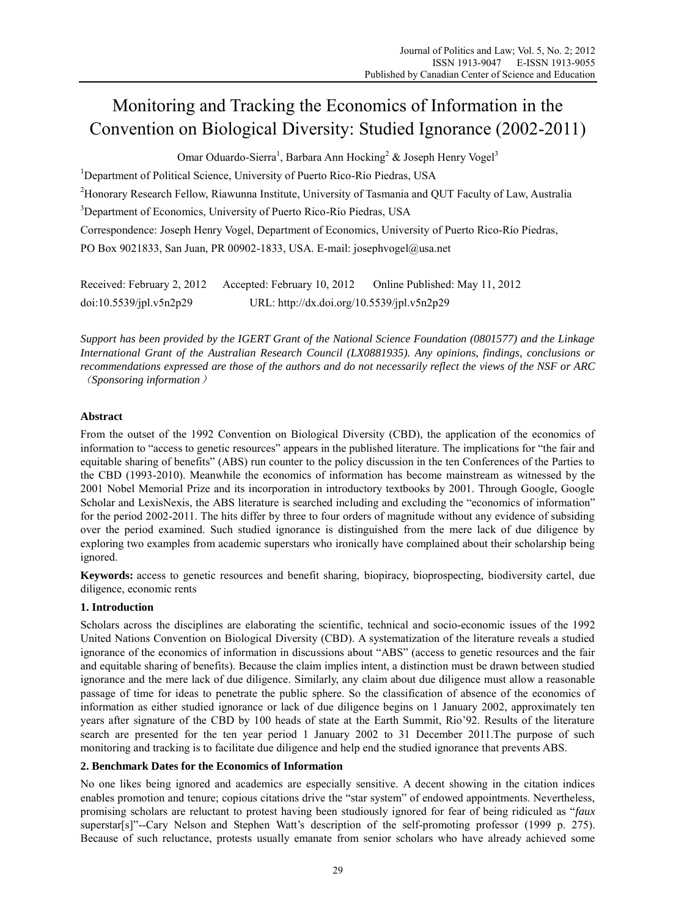# Monitoring and Tracking the Economics of Information in the Convention on Biological Diversity: Studied Ignorance (2002-2011)

Omar Oduardo-Sierra<sup>1</sup>, Barbara Ann Hocking<sup>2</sup> & Joseph Henry Vogel<sup>3</sup>

<sup>1</sup>Department of Political Science, University of Puerto Rico-Río Piedras, USA <sup>2</sup>Honorary Research Fellow, Riawunna Institute, University of Tasmania and QUT Faculty of Law, Australia <sup>3</sup>Department of Economics, University of Puerto Rico-Río Piedras, USA Correspondence: Joseph Henry Vogel, Department of Economics, University of Puerto Rico-Río Piedras, PO Box 9021833, San Juan, PR 00902-1833, USA. E-mail: josephvogel@usa.net

| Received: February 2, 2012 | Accepted: February 10, 2012                | Online Published: May 11, 2012 |
|----------------------------|--------------------------------------------|--------------------------------|
| doi:10.5539/jpl.v5n2p29    | URL: http://dx.doi.org/10.5539/jpl.v5n2p29 |                                |

*Support has been provided by the IGERT Grant of the National Science Foundation (0801577) and the Linkage International Grant of the Australian Research Council (LX0881935). Any opinions, findings, conclusions or recommendations expressed are those of the authors and do not necessarily reflect the views of the NSF or ARC* (*Sponsoring information*)

# **Abstract**

From the outset of the 1992 Convention on Biological Diversity (CBD), the application of the economics of information to "access to genetic resources" appears in the published literature. The implications for "the fair and equitable sharing of benefits" (ABS) run counter to the policy discussion in the ten Conferences of the Parties to the CBD (1993-2010). Meanwhile the economics of information has become mainstream as witnessed by the 2001 Nobel Memorial Prize and its incorporation in introductory textbooks by 2001. Through Google, Google Scholar and LexisNexis, the ABS literature is searched including and excluding the "economics of information" for the period 2002-2011. The hits differ by three to four orders of magnitude without any evidence of subsiding over the period examined. Such studied ignorance is distinguished from the mere lack of due diligence by exploring two examples from academic superstars who ironically have complained about their scholarship being ignored.

**Keywords:** access to genetic resources and benefit sharing, biopiracy, bioprospecting, biodiversity cartel, due diligence, economic rents

# **1. Introduction**

Scholars across the disciplines are elaborating the scientific, technical and socio-economic issues of the 1992 United Nations Convention on Biological Diversity (CBD). A systematization of the literature reveals a studied ignorance of the economics of information in discussions about "ABS" (access to genetic resources and the fair and equitable sharing of benefits). Because the claim implies intent, a distinction must be drawn between studied ignorance and the mere lack of due diligence. Similarly, any claim about due diligence must allow a reasonable passage of time for ideas to penetrate the public sphere. So the classification of absence of the economics of information as either studied ignorance or lack of due diligence begins on 1 January 2002, approximately ten years after signature of the CBD by 100 heads of state at the Earth Summit, Rio'92. Results of the literature search are presented for the ten year period 1 January 2002 to 31 December 2011.The purpose of such monitoring and tracking is to facilitate due diligence and help end the studied ignorance that prevents ABS.

# **2. Benchmark Dates for the Economics of Information**

No one likes being ignored and academics are especially sensitive. A decent showing in the citation indices enables promotion and tenure; copious citations drive the "star system" of endowed appointments. Nevertheless, promising scholars are reluctant to protest having been studiously ignored for fear of being ridiculed as "*faux* superstar[s]"--Cary Nelson and Stephen Watt's description of the self-promoting professor (1999 p. 275). Because of such reluctance, protests usually emanate from senior scholars who have already achieved some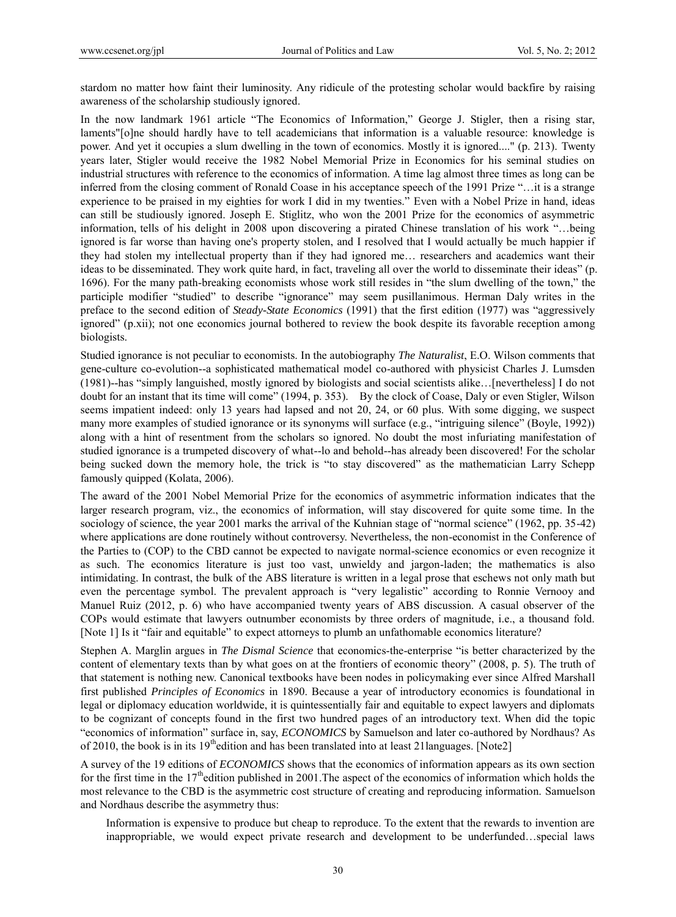stardom no matter how faint their luminosity. Any ridicule of the protesting scholar would backfire by raising awareness of the scholarship studiously ignored.

In the now landmark 1961 article "The Economics of Information," George J. Stigler, then a rising star, laments"[o]ne should hardly have to tell academicians that information is a valuable resource: knowledge is power. And yet it occupies a slum dwelling in the town of economics. Mostly it is ignored...." (p. 213). Twenty years later, Stigler would receive the 1982 Nobel Memorial Prize in Economics for his seminal studies on industrial structures with reference to the economics of information. A time lag almost three times as long can be inferred from the closing comment of Ronald Coase in his acceptance speech of the 1991 Prize "…it is a strange experience to be praised in my eighties for work I did in my twenties." Even with a Nobel Prize in hand, ideas can still be studiously ignored. Joseph E. Stiglitz, who won the 2001 Prize for the economics of asymmetric information, tells of his delight in 2008 upon discovering a pirated Chinese translation of his work "…being ignored is far worse than having one's property stolen, and I resolved that I would actually be much happier if they had stolen my intellectual property than if they had ignored me… researchers and academics want their ideas to be disseminated. They work quite hard, in fact, traveling all over the world to disseminate their ideas" (p. 1696). For the many path-breaking economists whose work still resides in "the slum dwelling of the town," the participle modifier "studied" to describe "ignorance" may seem pusillanimous. Herman Daly writes in the preface to the second edition of *Steady-State Economics* (1991) that the first edition (1977) was "aggressively ignored" (p.xii); not one economics journal bothered to review the book despite its favorable reception among biologists.

Studied ignorance is not peculiar to economists. In the autobiography *The Naturalist*, E.O. Wilson comments that gene-culture co-evolution--a sophisticated mathematical model co-authored with physicist Charles J. Lumsden (1981)--has "simply languished, mostly ignored by biologists and social scientists alike…[nevertheless] I do not doubt for an instant that its time will come" (1994, p. 353). By the clock of Coase, Daly or even Stigler, Wilson seems impatient indeed: only 13 years had lapsed and not 20, 24, or 60 plus. With some digging, we suspect many more examples of studied ignorance or its synonyms will surface (e.g., "intriguing silence" (Boyle, 1992)) along with a hint of resentment from the scholars so ignored. No doubt the most infuriating manifestation of studied ignorance is a trumpeted discovery of what--lo and behold--has already been discovered! For the scholar being sucked down the memory hole, the trick is "to stay discovered" as the mathematician Larry Schepp famously quipped (Kolata, 2006).

The award of the 2001 Nobel Memorial Prize for the economics of asymmetric information indicates that the larger research program, viz., the economics of information, will stay discovered for quite some time. In the sociology of science, the year 2001 marks the arrival of the Kuhnian stage of "normal science" (1962, pp. 35-42) where applications are done routinely without controversy. Nevertheless, the non-economist in the Conference of the Parties to (COP) to the CBD cannot be expected to navigate normal-science economics or even recognize it as such. The economics literature is just too vast, unwieldy and jargon-laden; the mathematics is also intimidating. In contrast, the bulk of the ABS literature is written in a legal prose that eschews not only math but even the percentage symbol. The prevalent approach is "very legalistic" according to Ronnie Vernooy and Manuel Ruiz (2012, p. 6) who have accompanied twenty years of ABS discussion. A casual observer of the COPs would estimate that lawyers outnumber economists by three orders of magnitude, i.e., a thousand fold. [Note 1] Is it "fair and equitable" to expect attorneys to plumb an unfathomable economics literature?

Stephen A. Marglin argues in *The Dismal Science* that economics-the-enterprise "is better characterized by the content of elementary texts than by what goes on at the frontiers of economic theory" (2008, p. 5). The truth of that statement is nothing new. Canonical textbooks have been nodes in policymaking ever since Alfred Marshall first published *Principles of Economics* in 1890. Because a year of introductory economics is foundational in legal or diplomacy education worldwide, it is quintessentially fair and equitable to expect lawyers and diplomats to be cognizant of concepts found in the first two hundred pages of an introductory text. When did the topic "economics of information" surface in, say, *ECONOMICS* by Samuelson and later co-authored by Nordhaus? As of 2010, the book is in its  $19<sup>th</sup>$ edition and has been translated into at least 21languages. [Note2]

A survey of the 19 editions of *ECONOMICS* shows that the economics of information appears as its own section for the first time in the 17<sup>th</sup>edition published in 2001. The aspect of the economics of information which holds the most relevance to the CBD is the asymmetric cost structure of creating and reproducing information. Samuelson and Nordhaus describe the asymmetry thus:

Information is expensive to produce but cheap to reproduce. To the extent that the rewards to invention are inappropriable, we would expect private research and development to be underfunded…special laws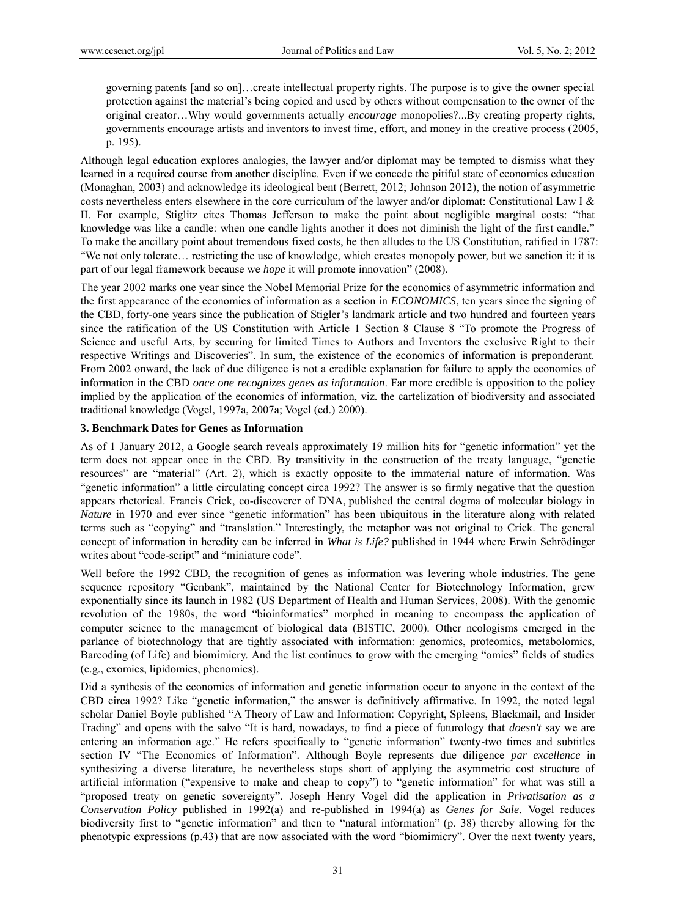governing patents [and so on]…create intellectual property rights. The purpose is to give the owner special protection against the material's being copied and used by others without compensation to the owner of the original creator…Why would governments actually *encourage* monopolies?...By creating property rights, governments encourage artists and inventors to invest time, effort, and money in the creative process (2005, p. 195).

Although legal education explores analogies, the lawyer and/or diplomat may be tempted to dismiss what they learned in a required course from another discipline. Even if we concede the pitiful state of economics education (Monaghan, 2003) and acknowledge its ideological bent (Berrett, 2012; Johnson 2012), the notion of asymmetric costs nevertheless enters elsewhere in the core curriculum of the lawyer and/or diplomat: Constitutional Law I & II. For example, Stiglitz cites Thomas Jefferson to make the point about negligible marginal costs: "that knowledge was like a candle: when one candle lights another it does not diminish the light of the first candle." To make the ancillary point about tremendous fixed costs, he then alludes to the US Constitution, ratified in 1787: "We not only tolerate… restricting the use of knowledge, which creates monopoly power, but we sanction it: it is part of our legal framework because we *hope* it will promote innovation" (2008).

The year 2002 marks one year since the Nobel Memorial Prize for the economics of asymmetric information and the first appearance of the economics of information as a section in *ECONOMICS*, ten years since the signing of the CBD, forty-one years since the publication of Stigler's landmark article and two hundred and fourteen years since the ratification of the US Constitution with Article 1 Section 8 Clause 8 "To promote the Progress of Science and useful Arts, by securing for limited Times to Authors and Inventors the exclusive Right to their respective Writings and Discoveries". In sum, the existence of the economics of information is preponderant. From 2002 onward, the lack of due diligence is not a credible explanation for failure to apply the economics of information in the CBD *once one recognizes genes as information*. Far more credible is opposition to the policy implied by the application of the economics of information, viz. the cartelization of biodiversity and associated traditional knowledge (Vogel, 1997a, 2007a; Vogel (ed.) 2000).

## **3. Benchmark Dates for Genes as Information**

As of 1 January 2012, a Google search reveals approximately 19 million hits for "genetic information" yet the term does not appear once in the CBD. By transitivity in the construction of the treaty language, "genetic resources" are "material" (Art. 2), which is exactly opposite to the immaterial nature of information. Was "genetic information" a little circulating concept circa 1992? The answer is so firmly negative that the question appears rhetorical. Francis Crick, co-discoverer of DNA, published the central dogma of molecular biology in *Nature* in 1970 and ever since "genetic information" has been ubiquitous in the literature along with related terms such as "copying" and "translation." Interestingly, the metaphor was not original to Crick. The general concept of information in heredity can be inferred in *What is Life?* published in 1944 where Erwin Schrödinger writes about "code-script" and "miniature code".

Well before the 1992 CBD, the recognition of genes as information was levering whole industries. The gene sequence repository "Genbank", maintained by the National Center for Biotechnology Information, grew exponentially since its launch in 1982 (US Department of Health and Human Services, 2008). With the genomic revolution of the 1980s, the word "bioinformatics" morphed in meaning to encompass the application of computer science to the management of biological data (BISTIC, 2000). Other neologisms emerged in the parlance of biotechnology that are tightly associated with information: genomics, proteomics, metabolomics, Barcoding (of Life) and biomimicry. And the list continues to grow with the emerging "omics" fields of studies (e.g., exomics, lipidomics, phenomics).

Did a synthesis of the economics of information and genetic information occur to anyone in the context of the CBD circa 1992? Like "genetic information," the answer is definitively affirmative. In 1992, the noted legal scholar Daniel Boyle published "A Theory of Law and Information: Copyright, Spleens, Blackmail, and Insider Trading" and opens with the salvo "It is hard, nowadays, to find a piece of futurology that *doesn't* say we are entering an information age." He refers specifically to "genetic information" twenty-two times and subtitles section IV "The Economics of Information". Although Boyle represents due diligence *par excellence* in synthesizing a diverse literature, he nevertheless stops short of applying the asymmetric cost structure of artificial information ("expensive to make and cheap to copy") to "genetic information" for what was still a "proposed treaty on genetic sovereignty". Joseph Henry Vogel did the application in *Privatisation as a Conservation Policy* published in 1992(a) and re-published in 1994(a) as *Genes for Sale*. Vogel reduces biodiversity first to "genetic information" and then to "natural information" (p. 38) thereby allowing for the phenotypic expressions (p.43) that are now associated with the word "biomimicry". Over the next twenty years,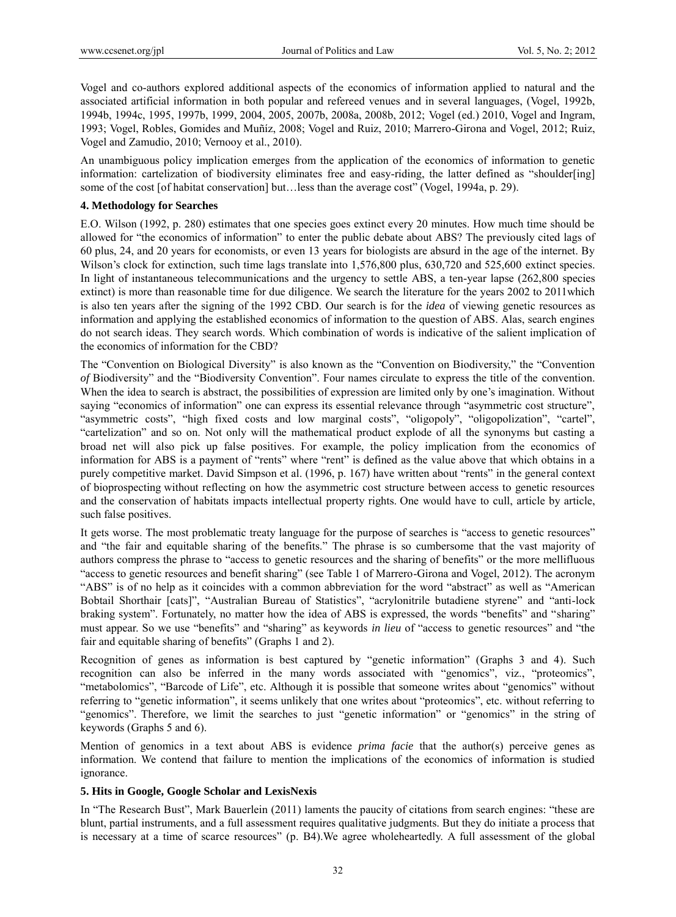Vogel and co-authors explored additional aspects of the economics of information applied to natural and the associated artificial information in both popular and refereed venues and in several languages, (Vogel, 1992b, 1994b, 1994c, 1995, 1997b, 1999, 2004, 2005, 2007b, 2008a, 2008b, 2012; Vogel (ed.) 2010, Vogel and Ingram, 1993; Vogel, Robles, Gomides and Muñíz, 2008; Vogel and Ruiz, 2010; Marrero-Girona and Vogel, 2012; Ruiz, Vogel and Zamudio, 2010; Vernooy et al., 2010).

An unambiguous policy implication emerges from the application of the economics of information to genetic information: cartelization of biodiversity eliminates free and easy-riding, the latter defined as "shoulder[ing] some of the cost [of habitat conservation] but...less than the average cost" (Vogel, 1994a, p. 29).

### **4. Methodology for Searches**

E.O. Wilson (1992, p. 280) estimates that one species goes extinct every 20 minutes. How much time should be allowed for "the economics of information" to enter the public debate about ABS? The previously cited lags of 60 plus, 24, and 20 years for economists, or even 13 years for biologists are absurd in the age of the internet. By Wilson's clock for extinction, such time lags translate into 1,576,800 plus, 630,720 and 525,600 extinct species. In light of instantaneous telecommunications and the urgency to settle ABS, a ten-year lapse (262,800 species extinct) is more than reasonable time for due diligence. We search the literature for the years 2002 to 2011which is also ten years after the signing of the 1992 CBD. Our search is for the *idea* of viewing genetic resources as information and applying the established economics of information to the question of ABS. Alas, search engines do not search ideas. They search words. Which combination of words is indicative of the salient implication of the economics of information for the CBD?

The "Convention on Biological Diversity" is also known as the "Convention on Biodiversity," the "Convention *of* Biodiversity" and the "Biodiversity Convention". Four names circulate to express the title of the convention. When the idea to search is abstract, the possibilities of expression are limited only by one's imagination. Without saying "economics of information" one can express its essential relevance through "asymmetric cost structure", "asymmetric costs", "high fixed costs and low marginal costs", "oligopoly", "oligopolization", "cartel", "cartelization" and so on. Not only will the mathematical product explode of all the synonyms but casting a broad net will also pick up false positives. For example, the policy implication from the economics of information for ABS is a payment of "rents" where "rent" is defined as the value above that which obtains in a purely competitive market. David Simpson et al. (1996, p. 167) have written about "rents" in the general context of bioprospecting without reflecting on how the asymmetric cost structure between access to genetic resources and the conservation of habitats impacts intellectual property rights. One would have to cull, article by article, such false positives.

It gets worse. The most problematic treaty language for the purpose of searches is "access to genetic resources" and "the fair and equitable sharing of the benefits." The phrase is so cumbersome that the vast majority of authors compress the phrase to "access to genetic resources and the sharing of benefits" or the more mellifluous "access to genetic resources and benefit sharing" (see Table 1 of Marrero-Girona and Vogel, 2012). The acronym "ABS" is of no help as it coincides with a common abbreviation for the word "abstract" as well as "American Bobtail Shorthair [cats]", "Australian Bureau of Statistics", "acrylonitrile butadiene styrene" and "anti-lock braking system". Fortunately, no matter how the idea of ABS is expressed, the words "benefits" and "sharing" must appear. So we use "benefits" and "sharing" as keywords *in lieu* of "access to genetic resources" and "the fair and equitable sharing of benefits" (Graphs 1 and 2).

Recognition of genes as information is best captured by "genetic information" (Graphs 3 and 4). Such recognition can also be inferred in the many words associated with "genomics", viz., "proteomics", "metabolomics", "Barcode of Life", etc. Although it is possible that someone writes about "genomics" without referring to "genetic information", it seems unlikely that one writes about "proteomics", etc. without referring to "genomics". Therefore, we limit the searches to just "genetic information" or "genomics" in the string of keywords (Graphs 5 and 6).

Mention of genomics in a text about ABS is evidence *prima facie* that the author(s) perceive genes as information. We contend that failure to mention the implications of the economics of information is studied ignorance.

## **5. Hits in Google, Google Scholar and LexisNexis**

In "The Research Bust", Mark Bauerlein (2011) laments the paucity of citations from search engines: "these are blunt, partial instruments, and a full assessment requires qualitative judgments. But they do initiate a process that is necessary at a time of scarce resources" (p. B4).We agree wholeheartedly. A full assessment of the global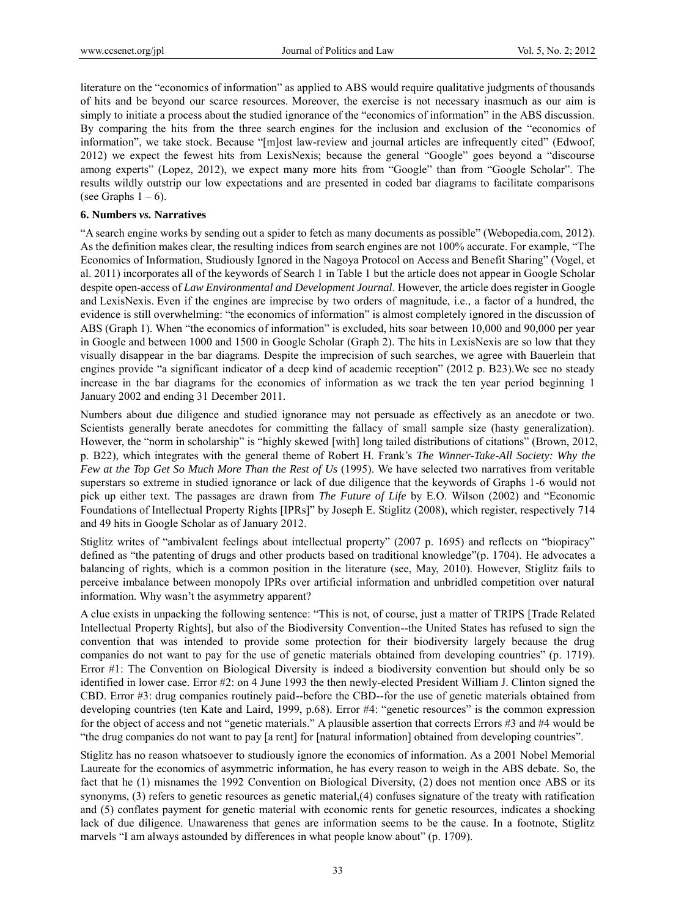literature on the "economics of information" as applied to ABS would require qualitative judgments of thousands of hits and be beyond our scarce resources. Moreover, the exercise is not necessary inasmuch as our aim is simply to initiate a process about the studied ignorance of the "economics of information" in the ABS discussion. By comparing the hits from the three search engines for the inclusion and exclusion of the "economics of information", we take stock. Because "[m]ost law-review and journal articles are infrequently cited" (Edwoof, 2012) we expect the fewest hits from LexisNexis; because the general "Google" goes beyond a "discourse among experts" (Lopez, 2012), we expect many more hits from "Google" than from "Google Scholar". The results wildly outstrip our low expectations and are presented in coded bar diagrams to facilitate comparisons (see Graphs  $1 - 6$ ).

#### **6. Numbers** *vs.* **Narratives**

"A search engine works by sending out a spider to fetch as many documents as possible" (Webopedia.com, 2012). As the definition makes clear, the resulting indices from search engines are not 100% accurate. For example, "The Economics of Information, Studiously Ignored in the Nagoya Protocol on Access and Benefit Sharing" (Vogel, et al. 2011) incorporates all of the keywords of Search 1 in Table 1 but the article does not appear in Google Scholar despite open-access of *Law Environmental and Development Journal*. However, the article does register in Google and LexisNexis. Even if the engines are imprecise by two orders of magnitude, i.e., a factor of a hundred, the evidence is still overwhelming: "the economics of information" is almost completely ignored in the discussion of ABS (Graph 1). When "the economics of information" is excluded, hits soar between 10,000 and 90,000 per year in Google and between 1000 and 1500 in Google Scholar (Graph 2). The hits in LexisNexis are so low that they visually disappear in the bar diagrams. Despite the imprecision of such searches, we agree with Bauerlein that engines provide "a significant indicator of a deep kind of academic reception" (2012 p. B23).We see no steady increase in the bar diagrams for the economics of information as we track the ten year period beginning 1 January 2002 and ending 31 December 2011.

Numbers about due diligence and studied ignorance may not persuade as effectively as an anecdote or two. Scientists generally berate anecdotes for committing the fallacy of small sample size (hasty generalization). However, the "norm in scholarship" is "highly skewed [with] long tailed distributions of citations" (Brown, 2012, p. B22), which integrates with the general theme of Robert H. Frank's *The Winner-Take-All Society: Why the Few at the Top Get So Much More Than the Rest of Us* (1995). We have selected two narratives from veritable superstars so extreme in studied ignorance or lack of due diligence that the keywords of Graphs 1-6 would not pick up either text. The passages are drawn from *The Future of Life* by E.O. Wilson (2002) and "Economic Foundations of Intellectual Property Rights [IPRs]" by Joseph E. Stiglitz (2008), which register, respectively 714 and 49 hits in Google Scholar as of January 2012.

Stiglitz writes of "ambivalent feelings about intellectual property" (2007 p. 1695) and reflects on "biopiracy" defined as "the patenting of drugs and other products based on traditional knowledge"(p. 1704). He advocates a balancing of rights, which is a common position in the literature (see, May, 2010). However, Stiglitz fails to perceive imbalance between monopoly IPRs over artificial information and unbridled competition over natural information. Why wasn't the asymmetry apparent?

A clue exists in unpacking the following sentence: "This is not, of course, just a matter of TRIPS [Trade Related Intellectual Property Rights], but also of the Biodiversity Convention--the United States has refused to sign the convention that was intended to provide some protection for their biodiversity largely because the drug companies do not want to pay for the use of genetic materials obtained from developing countries" (p. 1719). Error #1: The Convention on Biological Diversity is indeed a biodiversity convention but should only be so identified in lower case. Error #2: on 4 June 1993 the then newly-elected President William J. Clinton signed the CBD. Error #3: drug companies routinely paid--before the CBD--for the use of genetic materials obtained from developing countries (ten Kate and Laird, 1999, p.68). Error #4: "genetic resources" is the common expression for the object of access and not "genetic materials." A plausible assertion that corrects Errors #3 and #4 would be "the drug companies do not want to pay [a rent] for [natural information] obtained from developing countries".

Stiglitz has no reason whatsoever to studiously ignore the economics of information. As a 2001 Nobel Memorial Laureate for the economics of asymmetric information, he has every reason to weigh in the ABS debate. So, the fact that he (1) misnames the 1992 Convention on Biological Diversity, (2) does not mention once ABS or its synonyms, (3) refers to genetic resources as genetic material,(4) confuses signature of the treaty with ratification and (5) conflates payment for genetic material with economic rents for genetic resources, indicates a shocking lack of due diligence. Unawareness that genes are information seems to be the cause. In a footnote, Stiglitz marvels "I am always astounded by differences in what people know about" (p. 1709).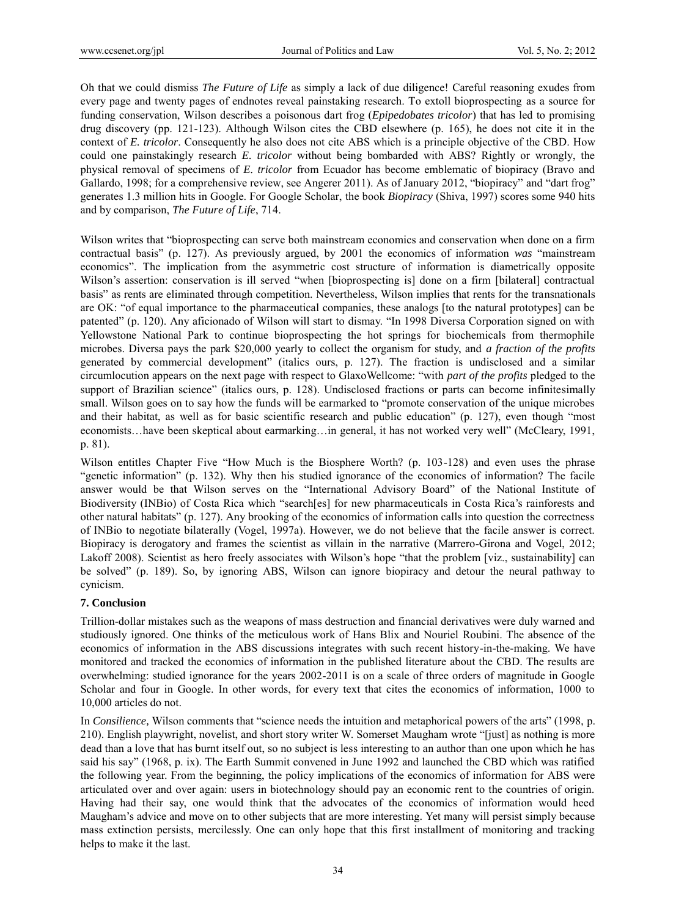Oh that we could dismiss *The Future of Life* as simply a lack of due diligence! Careful reasoning exudes from every page and twenty pages of endnotes reveal painstaking research. To extoll bioprospecting as a source for funding conservation, Wilson describes a poisonous dart frog (*Epipedobates tricolor*) that has led to promising drug discovery (pp. 121-123). Although Wilson cites the CBD elsewhere (p. 165), he does not cite it in the context of *E. tricolor*. Consequently he also does not cite ABS which is a principle objective of the CBD. How could one painstakingly research *E. tricolor* without being bombarded with ABS? Rightly or wrongly, the physical removal of specimens of *E. tricolor* from Ecuador has become emblematic of biopiracy (Bravo and Gallardo, 1998; for a comprehensive review, see Angerer 2011). As of January 2012, "biopiracy" and "dart frog" generates 1.3 million hits in Google. For Google Scholar, the book *Biopiracy* (Shiva, 1997) scores some 940 hits and by comparison, *The Future of Life*, 714.

Wilson writes that "bioprospecting can serve both mainstream economics and conservation when done on a firm contractual basis" (p. 127). As previously argued, by 2001 the economics of information *was* "mainstream economics". The implication from the asymmetric cost structure of information is diametrically opposite Wilson's assertion: conservation is ill served "when [bioprospecting is] done on a firm [bilateral] contractual basis" as rents are eliminated through competition. Nevertheless, Wilson implies that rents for the transnationals are OK: "of equal importance to the pharmaceutical companies, these analogs [to the natural prototypes] can be patented" (p. 120). Any aficionado of Wilson will start to dismay. "In 1998 Diversa Corporation signed on with Yellowstone National Park to continue bioprospecting the hot springs for biochemicals from thermophile microbes. Diversa pays the park \$20,000 yearly to collect the organism for study, and *a fraction of the profits* generated by commercial development" (italics ours, p. 127). The fraction is undisclosed and a similar circumlocution appears on the next page with respect to GlaxoWellcome: "with *part of the profits* pledged to the support of Brazilian science" (italics ours, p. 128). Undisclosed fractions or parts can become infinitesimally small. Wilson goes on to say how the funds will be earmarked to "promote conservation of the unique microbes and their habitat, as well as for basic scientific research and public education" (p. 127), even though "most economists…have been skeptical about earmarking…in general, it has not worked very well" (McCleary, 1991, p. 81).

Wilson entitles Chapter Five "How Much is the Biosphere Worth? (p. 103-128) and even uses the phrase "genetic information" (p. 132). Why then his studied ignorance of the economics of information? The facile answer would be that Wilson serves on the "International Advisory Board" of the National Institute of Biodiversity (INBio) of Costa Rica which "search[es] for new pharmaceuticals in Costa Rica's rainforests and other natural habitats" (p. 127). Any brooking of the economics of information calls into question the correctness of INBio to negotiate bilaterally (Vogel, 1997a). However, we do not believe that the facile answer is correct. Biopiracy is derogatory and frames the scientist as villain in the narrative (Marrero-Girona and Vogel, 2012; Lakoff 2008). Scientist as hero freely associates with Wilson's hope "that the problem [viz., sustainability] can be solved" (p. 189). So, by ignoring ABS, Wilson can ignore biopiracy and detour the neural pathway to cynicism.

## **7. Conclusion**

Trillion-dollar mistakes such as the weapons of mass destruction and financial derivatives were duly warned and studiously ignored. One thinks of the meticulous work of Hans Blix and Nouriel Roubini. The absence of the economics of information in the ABS discussions integrates with such recent history-in-the-making. We have monitored and tracked the economics of information in the published literature about the CBD. The results are overwhelming: studied ignorance for the years 2002-2011 is on a scale of three orders of magnitude in Google Scholar and four in Google. In other words, for every text that cites the economics of information, 1000 to 10,000 articles do not.

In *Consilience,* Wilson comments that "science needs the intuition and metaphorical powers of the arts" (1998, p. 210). English playwright, novelist, and short story writer W. Somerset Maugham wrote "[just] as nothing is more dead than a love that has burnt itself out, so no subject is less interesting to an author than one upon which he has said his say" (1968, p. ix). The Earth Summit convened in June 1992 and launched the CBD which was ratified the following year. From the beginning, the policy implications of the economics of information for ABS were articulated over and over again: users in biotechnology should pay an economic rent to the countries of origin. Having had their say, one would think that the advocates of the economics of information would heed Maugham's advice and move on to other subjects that are more interesting. Yet many will persist simply because mass extinction persists, mercilessly. One can only hope that this first installment of monitoring and tracking helps to make it the last.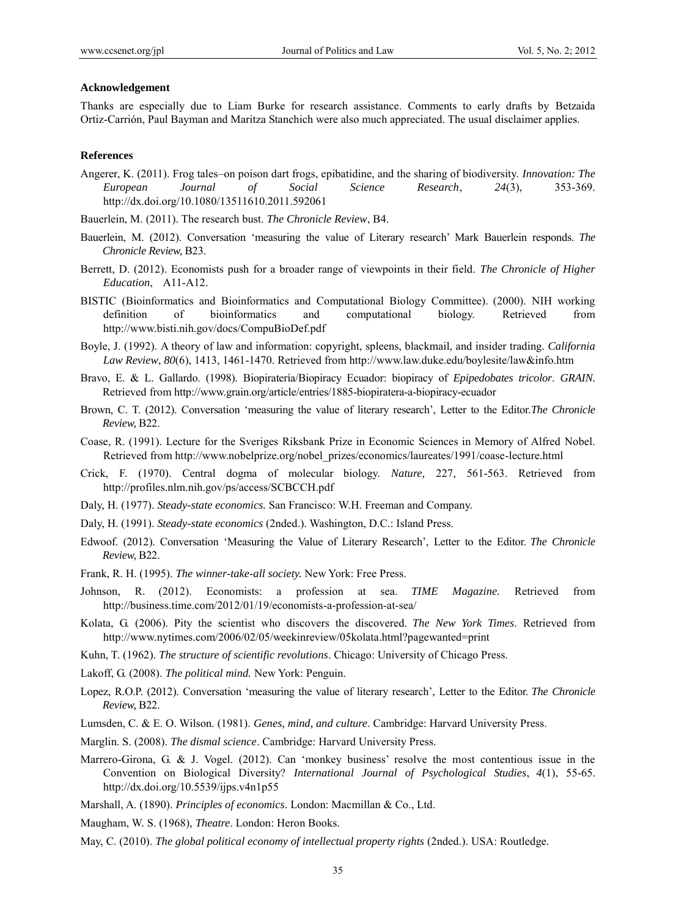#### **Acknowledgement**

Thanks are especially due to Liam Burke for research assistance. Comments to early drafts by Betzaida Ortiz-Carrión, Paul Bayman and Maritza Stanchich were also much appreciated. The usual disclaimer applies.

## **References**

- Angerer, K. (2011). Frog tales–on poison dart frogs, epibatidine, and the sharing of biodiversity. *Innovation: The European Journal of Social Science Research*, *24*(3), 353-369. http://dx.doi.org/10.1080/13511610.2011.592061
- Bauerlein, M. (2011). The research bust. *The Chronicle Review*, B4.
- Bauerlein, M. (2012). Conversation 'measuring the value of Literary research' Mark Bauerlein responds. *The Chronicle Review,* B23.
- Berrett, D. (2012). Economists push for a broader range of viewpoints in their field. *The Chronicle of Higher Education*, A11-A12.
- BISTIC (Bioinformatics and Bioinformatics and Computational Biology Committee). (2000). NIH working definition of bioinformatics and computational biology. Retrieved from http://www.bisti.nih.gov/docs/CompuBioDef.pdf
- Boyle, J. (1992). A theory of law and information: copyright, spleens, blackmail, and insider trading. *California Law Review*, *80*(6), 1413, 1461-1470. Retrieved from http://www.law.duke.edu/boylesite/law&info.htm
- Bravo, E. & L. Gallardo. (1998). Biopiratería/Biopiracy Ecuador: biopiracy of *Epipedobates tricolor*. *GRAIN.*  Retrieved from http://www.grain.org/article/entries/1885-biopiratera-a-biopiracy-ecuador
- Brown, C. T. (2012). Conversation 'measuring the value of literary research', Letter to the Editor.*The Chronicle Review,* B22.
- Coase, R. (1991). Lecture for the Sveriges Riksbank Prize in Economic Sciences in Memory of Alfred Nobel. Retrieved from http://www.nobelprize.org/nobel\_prizes/economics/laureates/1991/coase-lecture.html
- Crick, F. (1970). Central dogma of molecular biology. *Nature,* 227, 561-563. Retrieved from http://profiles.nlm.nih.gov/ps/access/SCBCCH.pdf
- Daly, H. (1977). *Steady-state economics.* San Francisco: W.H. Freeman and Company.
- Daly, H. (1991). *Steady-state economics* (2nded.). Washington, D.C.: Island Press.
- Edwoof. (2012). Conversation 'Measuring the Value of Literary Research', Letter to the Editor. *The Chronicle Review,* B22.
- Frank, R. H. (1995). *The winner-take-all society.* New York: Free Press.
- Johnson, R. (2012). Economists: a profession at sea. *TIME Magazine.* Retrieved from http://business.time.com/2012/01/19/economists-a-profession-at-sea/
- Kolata, G. (2006). Pity the scientist who discovers the discovered. *The New York Times*. Retrieved from http://www.nytimes.com/2006/02/05/weekinreview/05kolata.html?pagewanted=print
- Kuhn, T. (1962). *The structure of scientific revolutions*. Chicago: University of Chicago Press.
- Lakoff, G. (2008). *The political mind.* New York: Penguin.
- Lopez, R.O.P. (2012). Conversation 'measuring the value of literary research', Letter to the Editor. *The Chronicle Review,* B22.
- Lumsden, C. & E. O. Wilson. (1981). *Genes, mind, and culture*. Cambridge: Harvard University Press.
- Marglin. S. (2008). *The dismal science*. Cambridge: Harvard University Press.
- Marrero-Girona, G. & J. Vogel. (2012). Can 'monkey business' resolve the most contentious issue in the Convention on Biological Diversity? *International Journal of Psychological Studies*, *4*(1), 55-65. http://dx.doi.org/10.5539/ijps.v4n1p55
- Marshall, A. (1890). *Principles of economics*. London: Macmillan & Co., Ltd.
- Maugham, W. S. (1968), *Theatre*. London: Heron Books.
- May, C. (2010). *The global political economy of intellectual property rights* (2nded.). USA: Routledge.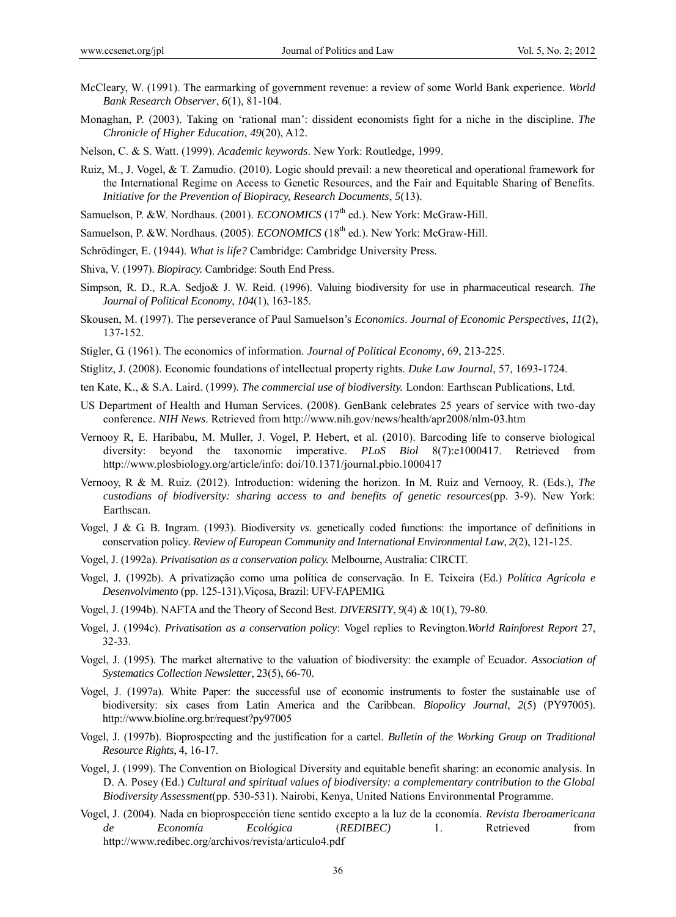- McCleary, W. (1991). The earmarking of government revenue: a review of some World Bank experience. *World Bank Research Observer*, *6*(1), 81-104.
- Monaghan, P. (2003). Taking on 'rational man': dissident economists fight for a niche in the discipline. *The Chronicle of Higher Education*, *49*(20), A12.
- Nelson, C. & S. Watt. (1999). *Academic keywords*. New York: Routledge, 1999.
- Ruiz, M., J. Vogel, & T. Zamudio. (2010). Logic should prevail: a new theoretical and operational framework for the International Regime on Access to Genetic Resources, and the Fair and Equitable Sharing of Benefits. *Initiative for the Prevention of Biopiracy, Research Documents*, *5*(13).
- Samuelson, P. &W. Nordhaus. (2001). *ECONOMICS* (17<sup>th</sup> ed.). New York: McGraw-Hill.
- Samuelson, P. &W. Nordhaus. (2005). *ECONOMICS* (18<sup>th</sup> ed.). New York: McGraw-Hill.
- Schrödinger, E. (1944). *What is life?* Cambridge: Cambridge University Press.
- Shiva, V. (1997). *Biopiracy.* Cambridge: South End Press.
- Simpson, R. D., R.A. Sedjo& J. W. Reid. (1996). Valuing biodiversity for use in pharmaceutical research. *The Journal of Political Economy*, *104*(1), 163-185.
- Skousen, M. (1997). The perseverance of Paul Samuelson's *Economics*. *Journal of Economic Perspectives*, *11*(2), 137-152.
- Stigler, G. (1961). The economics of information. *Journal of Political Economy*, 69, 213-225.
- Stiglitz, J. (2008). Economic foundations of intellectual property rights. *Duke Law Journal*, 57, 1693-1724.
- ten Kate, K., & S.A. Laird. (1999). *The commercial use of biodiversity.* London: Earthscan Publications, Ltd.
- US Department of Health and Human Services. (2008). GenBank celebrates 25 years of service with two-day conference. *NIH News*. Retrieved from http://www.nih.gov/news/health/apr2008/nlm-03.htm
- Vernooy R, E. Haribabu, M. Muller, J. Vogel, P. Hebert, et al. (2010). Barcoding life to conserve biological diversity: beyond the taxonomic imperative. *PLoS Biol* 8(7):e1000417. Retrieved from http://www.plosbiology.org/article/info: doi/10.1371/journal.pbio.1000417
- Vernooy, R & M. Ruiz. (2012). Introduction: widening the horizon. In M. Ruiz and Vernooy, R. (Eds.), *The custodians of biodiversity: sharing access to and benefits of genetic resources*(pp. 3-9). New York: Earthscan.
- Vogel, J & G. B. Ingram. (1993). Biodiversity *vs*. genetically coded functions: the importance of definitions in conservation policy. *Review of European Community and International Environmental Law*, *2*(2), 121-125.
- Vogel, J. (1992a). *Privatisation as a conservation policy.* Melbourne, Australia: CIRCIT.
- Vogel, J. (1992b). A privatização como uma política de conservação. In E. Teixeira (Ed.) *Política Agrícola e Desenvolvimento* (pp. 125-131).Viçosa, Brazil: UFV-FAPEMIG.
- Vogel, J. (1994b). NAFTA and the Theory of Second Best. *DIVERSITY*, *9*(4) & 10(1), 79-80.
- Vogel, J. (1994c). *Privatisation as a conservation policy*: Vogel replies to Revington.*World Rainforest Report* 27, 32-33.
- Vogel, J. (1995). The market alternative to the valuation of biodiversity: the example of Ecuador*. Association of Systematics Collection Newsletter*, 23(5), 66-70.
- Vogel, J. (1997a). White Paper: the successful use of economic instruments to foster the sustainable use of biodiversity: six cases from Latin America and the Caribbean. *Biopolicy Journal*, *2*(5) (PY97005). http://www.bioline.org.br/request?py97005
- Vogel, J. (1997b). Bioprospecting and the justification for a cartel. *Bulletin of the Working Group on Traditional Resource Rights*, 4, 16-17.
- Vogel, J. (1999). The Convention on Biological Diversity and equitable benefit sharing: an economic analysis. In D. A. Posey (Ed.) *Cultural and spiritual values of biodiversity: a complementary contribution to the Global Biodiversity Assessment*(pp. 530-531). Nairobi, Kenya, United Nations Environmental Programme.
- Vogel, J. (2004). Nada en bioprospección tiene sentido excepto a la luz de la economía. *Revista Iberoamericana de Economía Ecológica* (*REDIBEC)* 1. Retrieved from http://www.redibec.org/archivos/revista/articulo4.pdf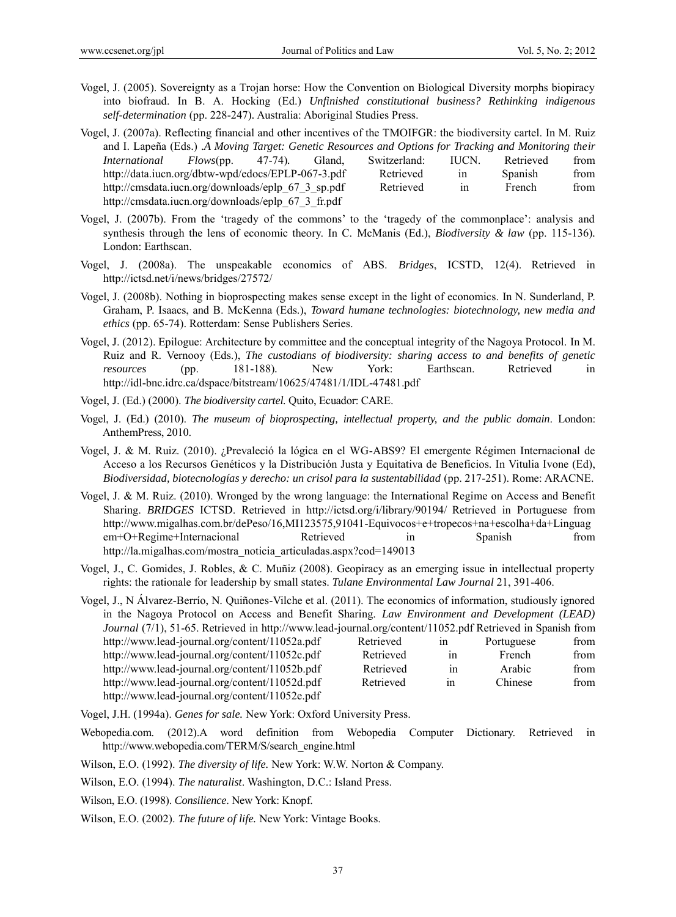- Vogel, J. (2005). Sovereignty as a Trojan horse: How the Convention on Biological Diversity morphs biopiracy into biofraud. In B. A. Hocking (Ed.) *Unfinished constitutional business? Rethinking indigenous self-determination* (pp. 228-247)*.* Australia: Aboriginal Studies Press.
- Vogel, J. (2007a). Reflecting financial and other incentives of the TMOIFGR: the biodiversity cartel. In M. Ruiz and I. Lapeña (Eds.) .*A Moving Target: Genetic Resources and Options for Tracking and Monitoring their International Flows*(pp. 47-74)*.* Gland, Switzerland: IUCN. Retrieved from <http://data.iucn.org/dbtw-wpd/edocs/EPLP-067-3.pdf> Retrieved in Spanish from [http://cmsdata.iucn.org/downloads/eplp\\_67\\_3\\_sp.pdf](http://cmsdata.iucn.org/downloads/eplp_67_3_sp.pdf) Retrieved in French from [http://cmsdata.iucn.org/downloads/eplp\\_67\\_3\\_fr.pdf](http://cmsdata.iucn.org/downloads/eplp_67_3_fr.pdf)
- Vogel, J. (2007b). From the 'tragedy of the commons' to the 'tragedy of the commonplace': analysis and synthesis through the lens of economic theory. In C. McManis (Ed.), *Biodiversity & law* (pp. 115-136)*.* London: Earthscan.
- Vogel, J. (2008a). The unspeakable economics of ABS. *Bridges*, ICSTD, 12(4). Retrieved in http://ictsd.net/i/news/bridges/27572/
- Vogel, J. (2008b). Nothing in bioprospecting makes sense except in the light of economics. In N. Sunderland, P. Graham, P. Isaacs, and B. McKenna (Eds.), *Toward humane technologies: biotechnology, new media and ethics* (pp. 65-74). Rotterdam: Sense Publishers Series.
- Vogel, J. (2012). Epilogue: Architecture by committee and the conceptual integrity of the Nagoya Protocol. In M. Ruiz and R. Vernooy (Eds.), *The custodians of biodiversity: sharing access to and benefits of genetic resources* (pp. 181-188)*.* New York: Earthscan. Retrieved in http://idl-bnc.idrc.ca/dspace/bitstream/10625/47481/1/IDL-47481.pdf
- Vogel, J. (Ed.) (2000). *The biodiversity cartel.* Quito, Ecuador: CARE.
- Vogel, J. (Ed.) (2010). *The museum of bioprospecting, intellectual property, and the public domain*. London: AnthemPress, 2010.
- Vogel, J. & M. Ruiz. (2010). ¿Prevaleció la lógica en el WG-ABS9? El emergente Régimen Internacional de Acceso a los Recursos Genéticos y la Distribución Justa y Equitativa de Beneficios. In Vitulia Ivone (Ed), *Biodiversidad, biotecnologías y derecho: un crisol para la sustentabilidad* (pp. 217-251). Rome: ARACNE.
- Vogel, J. & M. Ruiz. (2010). Wronged by the wrong language: the International Regime on Access and Benefit Sharing. *BRIDGES* ICTSD. Retrieved in <http://ictsd.org/i/library/90194/> Retrieved in Portuguese from [http://www.migalhas.com.br/dePeso/16,MI123575,91041-Equivocos+e+tropecos+na+escolha+da+Linguag](http://www.migalhas.com.br/dePeso/16,MI123575,91041-Equivocos+e+tropecos+na+escolha+da+Linguagem+O+Regime+Internacional) [em+O+Regime+Internacional](http://www.migalhas.com.br/dePeso/16,MI123575,91041-Equivocos+e+tropecos+na+escolha+da+Linguagem+O+Regime+Internacional) Retrieved in Spanish from [http://la.migalhas.com/mostra\\_noticia\\_articuladas.aspx?cod=149013](http://la.migalhas.com/mostra_noticia_articuladas.aspx?cod=149013)
- Vogel, J., C. Gomides, J. Robles, & C. Muñiz (2008). Geopiracy as an emerging issue in intellectual property rights: the rationale for leadership by small states. *Tulane Environmental Law Journal* 21, 391-406.

| Vogel, J., N Alvarez-Berrío, N. Quiñones-Vilche et al. (2011). The economics of information, studiously ignored |           |                |            |      |
|-----------------------------------------------------------------------------------------------------------------|-----------|----------------|------------|------|
| in the Nagoya Protocol on Access and Benefit Sharing. Law Environment and Development (LEAD)                    |           |                |            |      |
| Journal (7/1), 51-65. Retrieved in http://www.lead-journal.org/content/11052.pdf Retrieved in Spanish from      |           |                |            |      |
| http://www.lead-journal.org/content/11052a.pdf                                                                  | Retrieved | 1n             | Portuguese | from |
| http://www.lead-journal.org/content/11052c.pdf                                                                  | Retrieved | <sub>1</sub> n | French     | from |
| http://www.lead-journal.org/content/11052b.pdf                                                                  | Retrieved | 1n             | Arabic     | from |
| http://www.lead-journal.org/content/11052d.pdf                                                                  | Retrieved | in             | Chinese    | from |
| http://www.lead-journal.org/content/11052e.pdf                                                                  |           |                |            |      |

- Vogel, J.H. (1994a). *Genes for sale.* New York: Oxford University Press.
- Webopedia.com. (2012).A word definition from Webopedia Computer Dictionary. Retrieved in http://www.webopedia.com/TERM/S/search\_engine.html
- Wilson, E.O. (1992). *The diversity of life.* New York: W.W. Norton & Company.
- Wilson, E.O. (1994). *The naturalist*. Washington, D.C.: Island Press.
- Wilson, E.O. (1998). *Consilience*. New York: Knopf.
- Wilson, E.O. (2002). *The future of life.* New York: Vintage Books.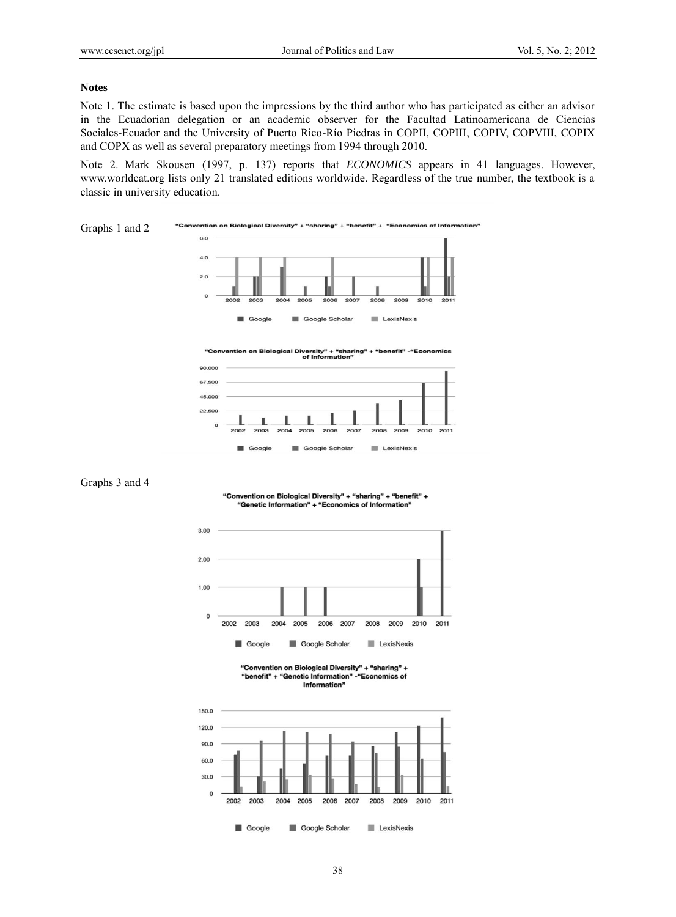#### **Notes**

Note 1. The estimate is based upon the impressions by the third author who has participated as either an advisor in the Ecuadorian delegation or an academic observer for the Facultad Latinoamericana de Ciencias Sociales-Ecuador and the University of Puerto Rico-Río Piedras in COPII, COPIII, COPIV, COPVIII, COPIX and COPX as well as several preparatory meetings from 1994 through 2010.

Note 2. Mark Skousen (1997, p. 137) reports that *ECONOMICS* appears in 41 languages. However, www.worldcat.org lists only 21 translated editions worldwide. Regardless of the true number, the textbook is a classic in university education.



versity"<br>of Inforr



Graphs 3 and 4

"Convention on Biological Diversity" + "sharing" + "benefit" + "Genetic Information" + "Economics of Information"



<sup>&</sup>quot;Convention on Biological Diversity" + "sharing" + "benefit" + "Genetic Information" - "Economics of Information"